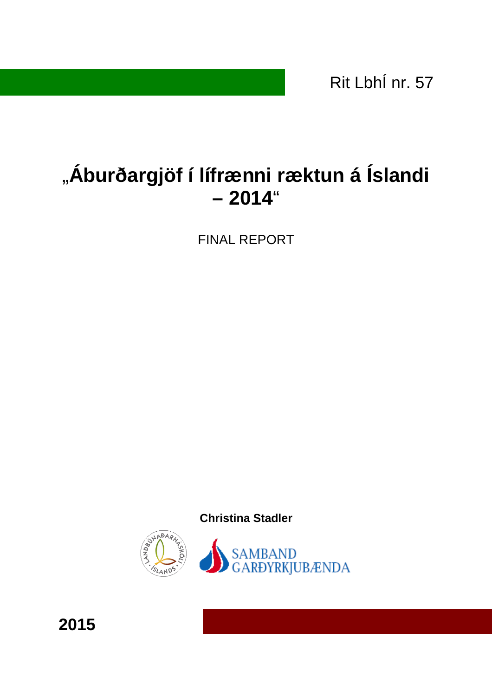Rit LbhÍ nr. 57

# "Áburðargjöf í lífrænni ræktun á Íslandi **– 2014**"

FINAL REPORT

**Christina Stadler** 



**2015**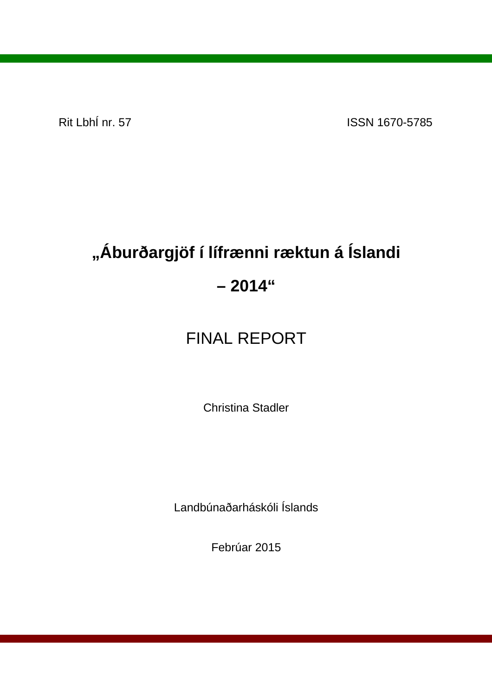Rit LbhÍ nr. 57 ISSN 1670-5785

# **"Áburðargjöf í lífrænni ræktun á Íslandi – 2014"**

## FINAL REPORT

Christina Stadler

Landbúnaðarháskóli Íslands

Febrúar 2015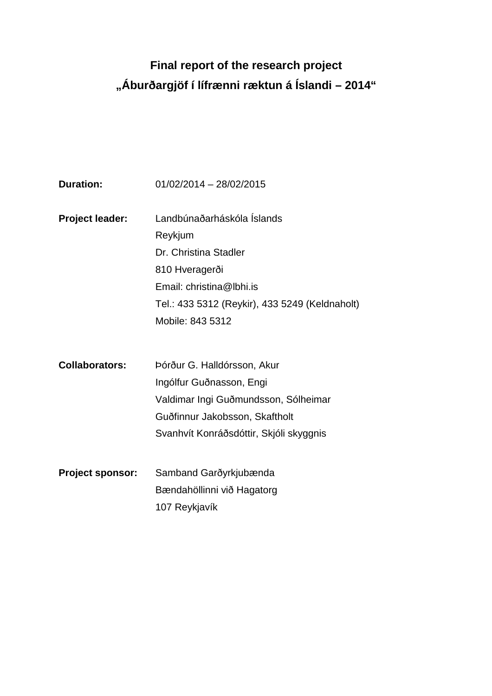## **Final report of the research project "Áburðargjöf í lífrænni ræktun á Íslandi – 2014"**

| <b>Duration:</b>        | 01/02/2014 - 28/02/2015                        |
|-------------------------|------------------------------------------------|
|                         |                                                |
| <b>Project leader:</b>  | Landbúnaðarháskóla Íslands                     |
|                         | Reykjum                                        |
|                         | Dr. Christina Stadler                          |
|                         | 810 Hveragerði                                 |
|                         | Email: christina@lbhi.is                       |
|                         | Tel.: 433 5312 (Reykir), 433 5249 (Keldnaholt) |
|                         | Mobile: 843 5312                               |
|                         |                                                |
|                         |                                                |
| <b>Collaborators:</b>   | Þórður G. Halldórsson, Akur                    |
|                         | Ingólfur Guðnasson, Engi                       |
|                         | Valdimar Ingi Guðmundsson, Sólheimar           |
|                         | Guðfinnur Jakobsson, Skaftholt                 |
|                         | Svanhvít Konráðsdóttir, Skjóli skyggnis        |
|                         |                                                |
| <b>Project sponsor:</b> | Samband Garðyrkjubænda                         |
|                         | Bændahöllinni við Hagatorg                     |
|                         | 107 Reykjavík                                  |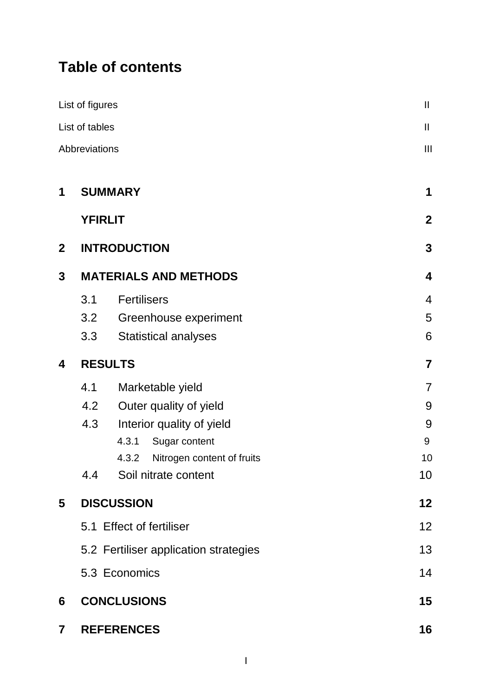## **Table of contents**

|                         | List of figures                                                                                                                                                | $\mathbf{II}$                                                           |  |
|-------------------------|----------------------------------------------------------------------------------------------------------------------------------------------------------------|-------------------------------------------------------------------------|--|
|                         | List of tables                                                                                                                                                 | $\mathsf{I}$                                                            |  |
|                         | Abbreviations                                                                                                                                                  | $\mathbf{III}$                                                          |  |
| 1                       | <b>SUMMARY</b>                                                                                                                                                 | 1                                                                       |  |
|                         | <b>YFIRLIT</b>                                                                                                                                                 | $\mathbf{2}$                                                            |  |
| $\overline{2}$          | <b>INTRODUCTION</b>                                                                                                                                            | $\mathbf{3}$                                                            |  |
| 3                       | <b>MATERIALS AND METHODS</b>                                                                                                                                   | 4                                                                       |  |
|                         | <b>Fertilisers</b><br>3.1<br>3.2<br>Greenhouse experiment<br>3.3<br><b>Statistical analyses</b>                                                                | $\overline{4}$<br>5<br>6                                                |  |
| 4                       | <b>RESULTS</b>                                                                                                                                                 | $\overline{7}$                                                          |  |
|                         | 4.1<br>Marketable yield<br>4.2<br>Outer quality of yield<br>4.3<br>Interior quality of yield<br>4.3.1<br>Sugar content<br>4.3.2<br>Soil nitrate content<br>4.4 | $\overline{7}$<br>9<br>9<br>9<br>Nitrogen content of fruits<br>10<br>10 |  |
| 5                       | <b>DISCUSSION</b>                                                                                                                                              | 12 <sub>2</sub>                                                         |  |
|                         | 5.1 Effect of fertiliser                                                                                                                                       | 12                                                                      |  |
|                         | 5.2 Fertiliser application strategies                                                                                                                          | 13                                                                      |  |
|                         | 5.3 Economics                                                                                                                                                  | 14                                                                      |  |
| 6                       | <b>CONCLUSIONS</b>                                                                                                                                             | $15\,$                                                                  |  |
| $\overline{\mathbf{7}}$ | <b>REFERENCES</b>                                                                                                                                              | 16                                                                      |  |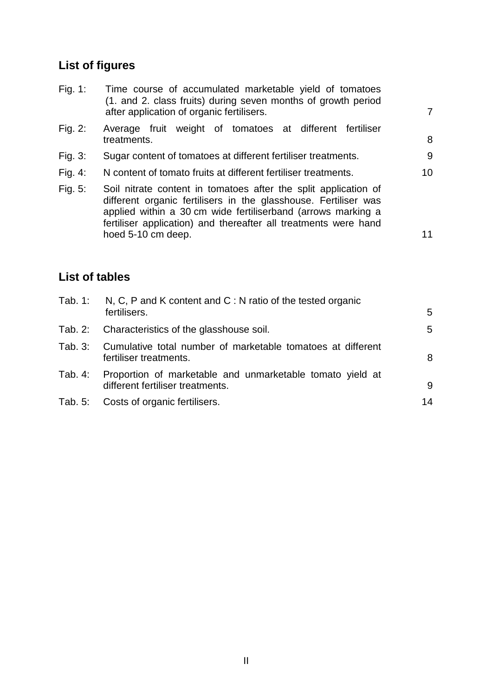## **List of figures**

| Fig. 1:    | Time course of accumulated marketable yield of tomatoes<br>(1. and 2. class fruits) during seven months of growth period<br>after application of organic fertilisers.                                                                                                                       | $\overline{7}$  |
|------------|---------------------------------------------------------------------------------------------------------------------------------------------------------------------------------------------------------------------------------------------------------------------------------------------|-----------------|
| Fig. $2:$  | Average fruit weight of tomatoes at different fertiliser<br>treatments.                                                                                                                                                                                                                     | 8               |
| Fig. 3:    | Sugar content of tomatoes at different fertiliser treatments.                                                                                                                                                                                                                               | 9               |
| Fig. $4$ : | N content of tomato fruits at different fertiliser treatments.                                                                                                                                                                                                                              | 10 <sup>°</sup> |
| Fig. 5:    | Soil nitrate content in tomatoes after the split application of<br>different organic fertilisers in the glasshouse. Fertiliser was<br>applied within a 30 cm wide fertiliserband (arrows marking a<br>fertiliser application) and thereafter all treatments were hand<br>hoed 5-10 cm deep. | 11              |

## **List of tables**

|         | Tab. 1: N, C, P and K content and C : N ratio of the tested organic<br>fertilisers.           | 5  |
|---------|-----------------------------------------------------------------------------------------------|----|
|         | Tab. 2: Characteristics of the glasshouse soil.                                               | 5  |
|         | Tab. 3: Cumulative total number of marketable tomatoes at different<br>fertiliser treatments. | 8  |
| Tab. 4: | Proportion of marketable and unmarketable tomato yield at<br>different fertiliser treatments. | 9  |
|         | Tab. 5: Costs of organic fertilisers.                                                         | 14 |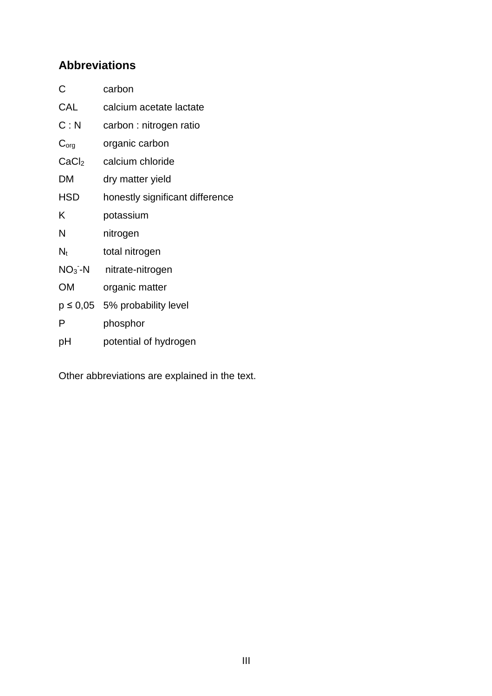## **Abbreviations**

| C                 | carbon                             |
|-------------------|------------------------------------|
| CAL               | calcium acetate lactate            |
| C: N              | carbon : nitrogen ratio            |
| $C_{org}$         | organic carbon                     |
| CaCl <sub>2</sub> | calcium chloride                   |
| DM                | dry matter yield                   |
| <b>HSD</b>        | honestly significant difference    |
| Κ                 | potassium                          |
| N                 | nitrogen                           |
| $N_t$             | total nitrogen                     |
| $NO3 - N$         | nitrate-nitrogen                   |
| <b>OM</b>         | organic matter                     |
|                   | $p \leq 0.05$ 5% probability level |
| P                 | phosphor                           |
| рH                | potential of hydrogen              |

Other abbreviations are explained in the text.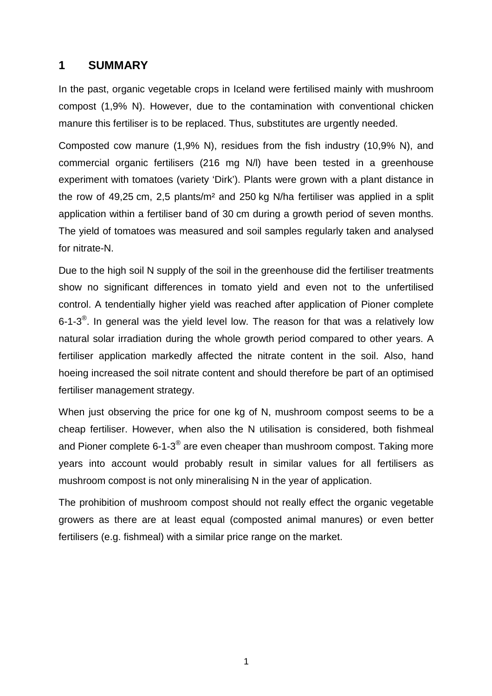## **1 SUMMARY**

In the past, organic vegetable crops in Iceland were fertilised mainly with mushroom compost (1,9% N). However, due to the contamination with conventional chicken manure this fertiliser is to be replaced. Thus, substitutes are urgently needed.

Composted cow manure (1,9% N), residues from the fish industry (10,9% N), and commercial organic fertilisers (216 mg N/l) have been tested in a greenhouse experiment with tomatoes (variety 'Dirk'). Plants were grown with a plant distance in the row of 49,25 cm, 2,5 plants/m² and 250 kg N/ha fertiliser was applied in a split application within a fertiliser band of 30 cm during a growth period of seven months. The yield of tomatoes was measured and soil samples regularly taken and analysed for nitrate-N.

Due to the high soil N supply of the soil in the greenhouse did the fertiliser treatments show no significant differences in tomato yield and even not to the unfertilised control. A tendentially higher yield was reached after application of Pioner complete 6-1-3<sup>®</sup>. In general was the yield level low. The reason for that was a relatively low natural solar irradiation during the whole growth period compared to other years. A fertiliser application markedly affected the nitrate content in the soil. Also, hand hoeing increased the soil nitrate content and should therefore be part of an optimised fertiliser management strategy.

When just observing the price for one kg of N, mushroom compost seems to be a cheap fertiliser. However, when also the N utilisation is considered, both fishmeal and Pioner complete 6-1-3 $^\circledast$  are even cheaper than mushroom compost. Taking more years into account would probably result in similar values for all fertilisers as mushroom compost is not only mineralising N in the year of application.

The prohibition of mushroom compost should not really effect the organic vegetable growers as there are at least equal (composted animal manures) or even better fertilisers (e.g. fishmeal) with a similar price range on the market.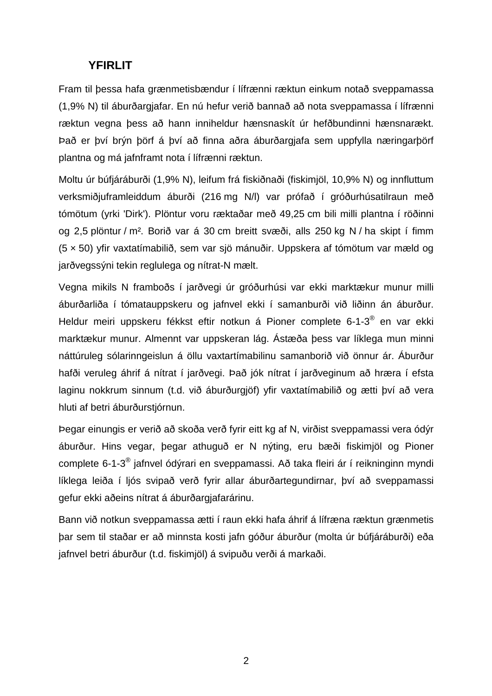## **YFIRLIT**

Fram til þessa hafa grænmetisbændur í lífrænni ræktun einkum notað sveppamassa (1,9% N) til áburðargjafar. En nú hefur verið bannað að nota sveppamassa í lífrænni ræktun vegna þess að hann inniheldur hænsnaskít úr hefðbundinni hænsnarækt. Það er því brýn þörf á því að finna aðra áburðargjafa sem uppfylla næringarþörf plantna og má jafnframt nota í lífrænni ræktun.

Moltu úr búfjáráburði (1,9% N), leifum frá fiskiðnaði (fiskimjöl, 10,9% N) og innfluttum verksmiðjuframleiddum áburði (216 mg N/l) var prófað í gróðurhúsatilraun með tómötum (yrki 'Dirk'). Plöntur voru ræktaðar með 49,25 cm bili milli plantna í röðinni og 2,5 plöntur / m². Borið var á 30 cm breitt svæði, alls 250 kg N / ha skipt í fimm (5 × 50) yfir vaxtatímabilið, sem var sjö mánuðir. Uppskera af tómötum var mæld og jarðvegssýni tekin reglulega og nítrat-N mælt.

Vegna mikils N framboðs í jarðvegi úr gróðurhúsi var ekki marktækur munur milli áburðarliða í tómatauppskeru og jafnvel ekki í samanburði við liðinn án áburður. Heldur meiri uppskeru fékkst eftir notkun á Pioner complete 6-1-3® en var ekki marktækur munur. Almennt var uppskeran lág. Ástæða þess var líklega mun minni náttúruleg sólarinngeislun á öllu vaxtartímabilinu samanborið við önnur ár. Áburður hafði veruleg áhrif á nítrat í jarðvegi. Það jók nítrat í jarðveginum að hræra í efsta laginu nokkrum sinnum (t.d. við áburðurgjöf) yfir vaxtatímabilið og ætti því að vera hluti af betri áburðurstjórnun.

Þegar einungis er verið að skoða verð fyrir eitt kg af N, virðist sveppamassi vera ódýr áburður. Hins vegar, þegar athuguð er N nýting, eru bæði fiskimjöl og Pioner complete 6-1-3<sup>®</sup> jafnvel ódýrari en sveppamassi. Að taka fleiri ár í reikninginn myndi líklega leiða í ljós svipað verð fyrir allar áburðartegundirnar, því að sveppamassi gefur ekki aðeins nítrat á áburðargjafarárinu.

Bann við notkun sveppamassa ætti í raun ekki hafa áhrif á lífræna ræktun grænmetis þar sem til staðar er að minnsta kosti jafn góður áburður (molta úr búfjáráburði) eða jafnvel betri áburður (t.d. fiskimjöl) á svipuðu verði á markaði.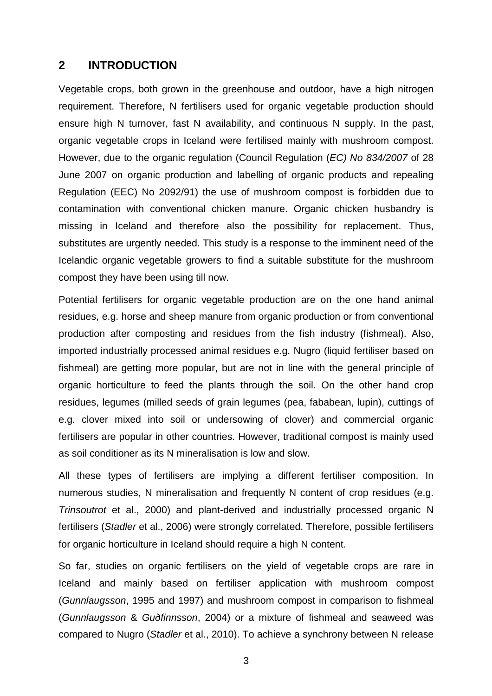#### **2 INTRODUCTION**

Vegetable crops, both grown in the greenhouse and outdoor, have a high nitrogen requirement. Therefore, N fertilisers used for organic vegetable production should ensure high N turnover, fast N availability, and continuous N supply. In the past, organic vegetable crops in Iceland were fertilised mainly with mushroom compost. However, due to the organic regulation (Council Regulation (EC) No 834/2007 of 28 June 2007 on organic production and labelling of organic products and repealing Regulation (EEC) No 2092/91) the use of mushroom compost is forbidden due to contamination with conventional chicken manure. Organic chicken husbandry is missing in Iceland and therefore also the possibility for replacement. Thus, substitutes are urgently needed. This study is a response to the imminent need of the Icelandic organic vegetable growers to find a suitable substitute for the mushroom compost they have been using till now.

Potential fertilisers for organic vegetable production are on the one hand animal residues, e.g. horse and sheep manure from organic production or from conventional production after composting and residues from the fish industry (fishmeal). Also, imported industrially processed animal residues e.g. Nugro (liquid fertiliser based on fishmeal) are getting more popular, but are not in line with the general principle of organic horticulture to feed the plants through the soil. On the other hand crop residues, legumes (milled seeds of grain legumes (pea, fababean, lupin), cuttings of e.g. clover mixed into soil or undersowing of clover) and commercial organic fertilisers are popular in other countries. However, traditional compost is mainly used as soil conditioner as its N mineralisation is low and slow.

All these types of fertilisers are implying a different fertiliser composition. In numerous studies, N mineralisation and frequently N content of crop residues (e.g. Trinsoutrot et al., 2000) and plant-derived and industrially processed organic N fertilisers (Stadler et al., 2006) were strongly correlated. Therefore, possible fertilisers for organic horticulture in Iceland should require a high N content.

So far, studies on organic fertilisers on the yield of vegetable crops are rare in Iceland and mainly based on fertiliser application with mushroom compost (Gunnlaugsson, 1995 and 1997) and mushroom compost in comparison to fishmeal (Gunnlaugsson & Guðfinnsson, 2004) or a mixture of fishmeal and seaweed was compared to Nugro (Stadler et al., 2010). To achieve a synchrony between N release

3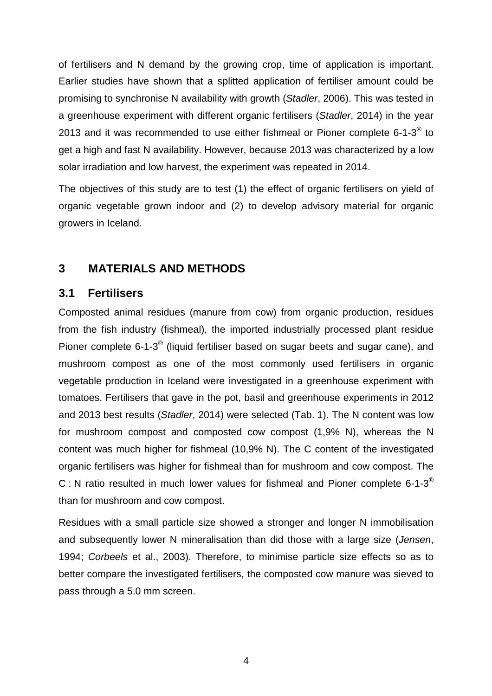of fertilisers and N demand by the growing crop, time of application is important. Earlier studies have shown that a splitted application of fertiliser amount could be promising to synchronise N availability with growth (Stadler, 2006). This was tested in a greenhouse experiment with different organic fertilisers (Stadler, 2014) in the year 2013 and it was recommended to use either fishmeal or Pioner complete 6-1-3 $^{\circledR}$  to get a high and fast N availability. However, because 2013 was characterized by a low solar irradiation and low harvest, the experiment was repeated in 2014.

The objectives of this study are to test (1) the effect of organic fertilisers on yield of organic vegetable grown indoor and (2) to develop advisory material for organic growers in Iceland.

## **3 MATERIALS AND METHODS**

### **3.1 Fertilisers**

Composted animal residues (manure from cow) from organic production, residues from the fish industry (fishmeal), the imported industrially processed plant residue Pioner complete 6-1-3 $^{\circledR}$  (liquid fertiliser based on sugar beets and sugar cane), and mushroom compost as one of the most commonly used fertilisers in organic vegetable production in Iceland were investigated in a greenhouse experiment with tomatoes. Fertilisers that gave in the pot, basil and greenhouse experiments in 2012 and 2013 best results (Stadler, 2014) were selected (Tab. 1). The N content was low for mushroom compost and composted cow compost (1,9% N), whereas the N content was much higher for fishmeal (10,9% N). The C content of the investigated organic fertilisers was higher for fishmeal than for mushroom and cow compost. The C : N ratio resulted in much lower values for fishmeal and Pioner complete 6-1-3<sup>®</sup> than for mushroom and cow compost.

Residues with a small particle size showed a stronger and longer N immobilisation and subsequently lower N mineralisation than did those with a large size (Jensen, 1994; Corbeels et al., 2003). Therefore, to minimise particle size effects so as to better compare the investigated fertilisers, the composted cow manure was sieved to pass through a 5.0 mm screen.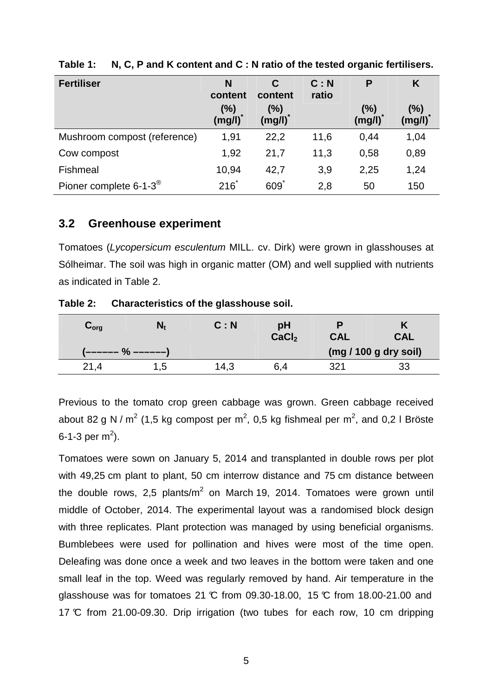| <b>Fertiliser</b>                      | N<br>content  | C<br>content  | C: N<br>ratio | P             | K             |
|----------------------------------------|---------------|---------------|---------------|---------------|---------------|
|                                        | (%)<br>(mg/l) | (%)<br>(mg/l) |               | (%)<br>(mg/l) | (%)<br>(mg/l) |
| Mushroom compost (reference)           | 1,91          | 22,2          | 11,6          | 0.44          | 1,04          |
| Cow compost                            | 1,92          | 21,7          | 11,3          | 0,58          | 0,89          |
| Fishmeal                               | 10,94         | 42,7          | 3,9           | 2,25          | 1,24          |
| Pioner complete $6-1-3^{\circledcirc}$ | $216^*$       | 609           | 2,8           | 50            | 150           |

**Table 1: N, C, P and K content and C : N ratio of the tested organic fertilisers.** 

#### **3.2 Greenhouse experiment**

Tomatoes (Lycopersicum esculentum MILL. cv. Dirk) were grown in glasshouses at Sólheimar. The soil was high in organic matter (OM) and well supplied with nutrients as indicated in Table 2.

**Table 2: Characteristics of the glasshouse soil.** 

| $\mathbf{v}_{\mathsf{org}}$ | N,  | C: N | рH<br>CaCl <sub>2</sub> | <b>CAL</b> | CAL                   |
|-----------------------------|-----|------|-------------------------|------------|-----------------------|
|                             |     |      |                         |            | (mg / 100 g dry soil) |
| 21.4                        | 1.5 | 14,3 | 6,4                     | 321        | 33                    |

Previous to the tomato crop green cabbage was grown. Green cabbage received about 82 g N / m<sup>2</sup> (1,5 kg compost per m<sup>2</sup>, 0,5 kg fishmeal per m<sup>2</sup>, and 0,2 l Bröste 6-1-3 per m<sup>2</sup>).

Tomatoes were sown on January 5, 2014 and transplanted in double rows per plot with 49,25 cm plant to plant, 50 cm interrow distance and 75 cm distance between the double rows, 2,5 plants/m<sup>2</sup> on March 19, 2014. Tomatoes were grown until middle of October, 2014. The experimental layout was a randomised block design with three replicates. Plant protection was managed by using beneficial organisms. Bumblebees were used for pollination and hives were most of the time open. Deleafing was done once a week and two leaves in the bottom were taken and one small leaf in the top. Weed was regularly removed by hand. Air temperature in the glasshouse was for tomatoes 21  $\mathbb C$  from 09.30-18.00, 15  $\mathbb C$  from 18.00-21.00 and 17 °C from 21.00-09.30. Drip irrigation (two tubes for each row, 10 cm dripping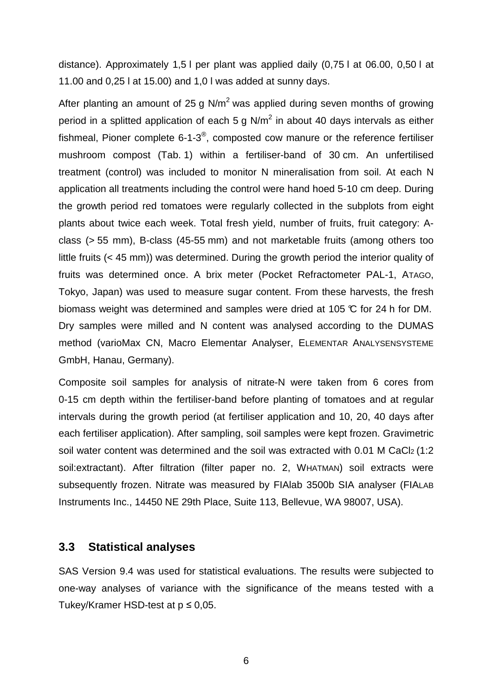distance). Approximately 1,5 l per plant was applied daily (0,75 l at 06.00, 0,50 l at 11.00 and 0,25 l at 15.00) and 1,0 l was added at sunny days.

After planting an amount of 25 g N/ $m<sup>2</sup>$  was applied during seven months of growing period in a splitted application of each 5 g N/m<sup>2</sup> in about 40 days intervals as either fishmeal, Pioner complete 6-1-3<sup>®</sup>, composted cow manure or the reference fertiliser mushroom compost (Tab. 1) within a fertiliser-band of 30 cm. An unfertilised treatment (control) was included to monitor N mineralisation from soil. At each N application all treatments including the control were hand hoed 5-10 cm deep. During the growth period red tomatoes were regularly collected in the subplots from eight plants about twice each week. Total fresh yield, number of fruits, fruit category: Aclass (> 55 mm), B-class (45-55 mm) and not marketable fruits (among others too little fruits (< 45 mm)) was determined. During the growth period the interior quality of fruits was determined once. A brix meter (Pocket Refractometer PAL-1, ATAGO, Tokyo, Japan) was used to measure sugar content. From these harvests, the fresh biomass weight was determined and samples were dried at 105  $\mathbb C$  for 24 h for DM. Dry samples were milled and N content was analysed according to the DUMAS method (varioMax CN, Macro Elementar Analyser, ELEMENTAR ANALYSENSYSTEME GmbH, Hanau, Germany).

Composite soil samples for analysis of nitrate-N were taken from 6 cores from 0-15 cm depth within the fertiliser-band before planting of tomatoes and at regular intervals during the growth period (at fertiliser application and 10, 20, 40 days after each fertiliser application). After sampling, soil samples were kept frozen. Gravimetric soil water content was determined and the soil was extracted with 0.01 M CaCl2 (1:2 soil:extractant). After filtration (filter paper no. 2, WHATMAN) soil extracts were subsequently frozen. Nitrate was measured by FIAlab 3500b SIA analyser (FIALAB Instruments Inc., 14450 NE 29th Place, Suite 113, Bellevue, WA 98007, USA).

#### **3.3 Statistical analyses**

SAS Version 9.4 was used for statistical evaluations. The results were subjected to one-way analyses of variance with the significance of the means tested with a Tukey/Kramer HSD-test at  $p \le 0.05$ .

6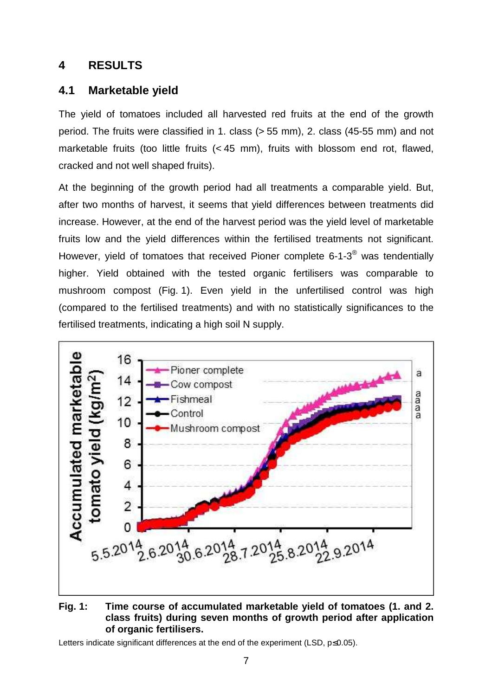## **4 RESULTS**

## **4.1 Marketable yield**

The yield of tomatoes included all harvested red fruits at the end of the growth period. The fruits were classified in 1. class (> 55 mm), 2. class (45-55 mm) and not marketable fruits (too little fruits (< 45 mm), fruits with blossom end rot, flawed, cracked and not well shaped fruits).

At the beginning of the growth period had all treatments a comparable yield. But, after two months of harvest, it seems that yield differences between treatments did increase. However, at the end of the harvest period was the yield level of marketable fruits low and the yield differences within the fertilised treatments not significant. However, yield of tomatoes that received Pioner complete 6-1-3 $^{\circledR}$  was tendentially higher. Yield obtained with the tested organic fertilisers was comparable to mushroom compost (Fig. 1). Even yield in the unfertilised control was high (compared to the fertilised treatments) and with no statistically significances to the fertilised treatments, indicating a high soil N supply.



#### **Fig. 1: Time course of accumulated marketable yield of tomatoes (1. and 2. class fruits) during seven months of growth period after application of organic fertilisers.**

Letters indicate significant differences at the end of the experiment (LSD, p≤0.05).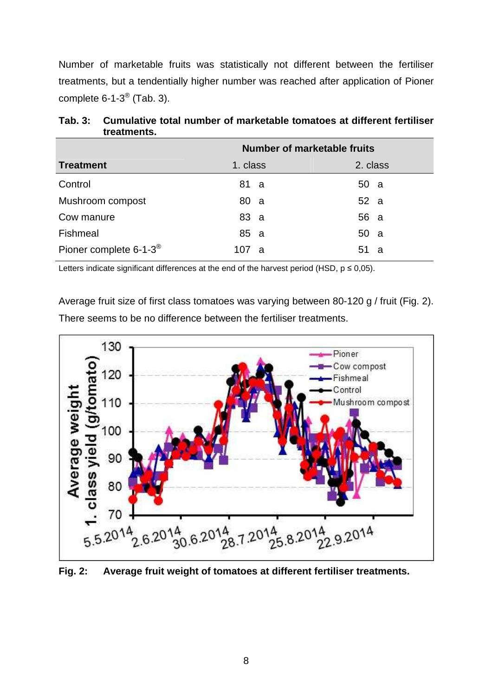Number of marketable fruits was statistically not different between the fertiliser treatments, but a tendentially higher number was reached after application of Pioner complete 6-1-3 $^{\circledR}$  (Tab. 3).

|                                        | <b>Number of marketable fruits</b> |           |  |  |  |
|----------------------------------------|------------------------------------|-----------|--|--|--|
| <b>Treatment</b>                       | 1. class                           | 2. class  |  |  |  |
| Control                                | 81 a                               | 50a       |  |  |  |
| Mushroom compost                       | 80 a                               | 52 a      |  |  |  |
| Cow manure                             | 83 a                               | 56 a      |  |  |  |
| Fishmeal                               | 85 a                               | 50 a      |  |  |  |
| Pioner complete $6-1-3^{\circledcirc}$ | 107<br><b>a</b>                    | 51<br>- a |  |  |  |

**Tab. 3: Cumulative total number of marketable tomatoes at different fertiliser treatments.** 

Letters indicate significant differences at the end of the harvest period (HSD,  $p \le 0.05$ ).

Average fruit size of first class tomatoes was varying between 80-120 g / fruit (Fig. 2). There seems to be no difference between the fertiliser treatments.



**Fig. 2: Average fruit weight of tomatoes at different fertiliser treatments.**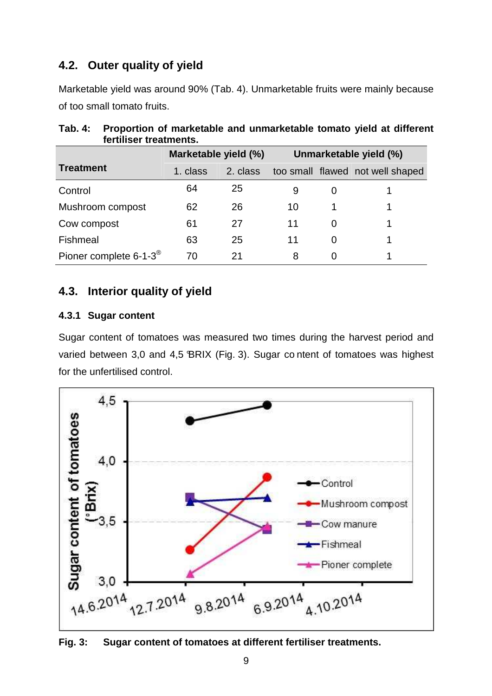## **4.2. Outer quality of yield**

Marketable yield was around 90% (Tab. 4). Unmarketable fruits were mainly because of too small tomato fruits.

|                                        | Marketable yield (%) |          | Unmarketable yield (%) |          |                                  |  |
|----------------------------------------|----------------------|----------|------------------------|----------|----------------------------------|--|
| Treatment                              | 1. class             | 2. class |                        |          | too small flawed not well shaped |  |
| Control                                | 64                   | 25       | 9                      | $\Omega$ |                                  |  |
| Mushroom compost                       | 62                   | 26       | 10                     |          |                                  |  |
| Cow compost                            | 61                   | 27       | 11                     | 0        |                                  |  |
| Fishmeal                               | 63                   | 25       | 11                     | $\Omega$ |                                  |  |
| Pioner complete $6-1-3^{\circledcirc}$ | 70                   | 21       | 8                      | 0        |                                  |  |

## **Tab. 4: Proportion of marketable and unmarketable tomato yield at different fertiliser treatments.**

## **4.3. Interior quality of yield**

#### **4.3.1 Sugar content**

Sugar content of tomatoes was measured two times during the harvest period and varied between 3,0 and 4,5 BRIX (Fig. 3). Sugar content of tomatoes was highest for the unfertilised control.



**Fig. 3: Sugar content of tomatoes at different fertiliser treatments.**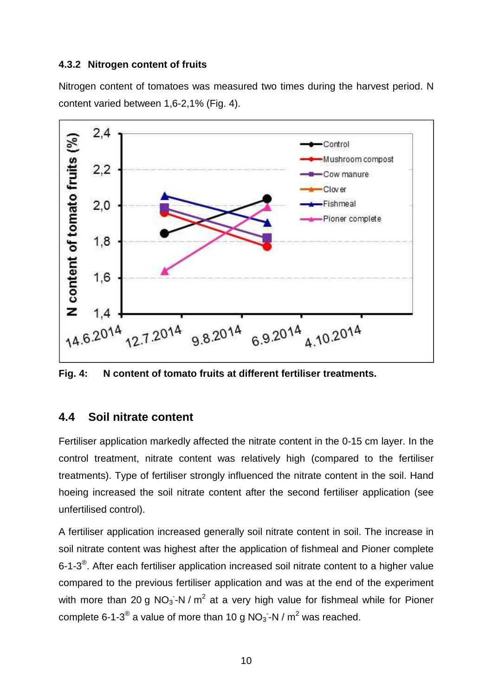#### **4.3.2 Nitrogen content of fruits**

Nitrogen content of tomatoes was measured two times during the harvest period. N content varied between 1,6-2,1% (Fig. 4).



**Fig. 4: N content of tomato fruits at different fertiliser treatments.** 

### **4.4 Soil nitrate content**

Fertiliser application markedly affected the nitrate content in the 0-15 cm layer. In the control treatment, nitrate content was relatively high (compared to the fertiliser treatments). Type of fertiliser strongly influenced the nitrate content in the soil. Hand hoeing increased the soil nitrate content after the second fertiliser application (see unfertilised control).

A fertiliser application increased generally soil nitrate content in soil. The increase in soil nitrate content was highest after the application of fishmeal and Pioner complete 6-1-3<sup>®</sup>. After each fertiliser application increased soil nitrate content to a higher value compared to the previous fertiliser application and was at the end of the experiment with more than 20 g NO<sub>3</sub>-N / m<sup>2</sup> at a very high value for fishmeal while for Pioner complete 6-1-3<sup>®</sup> a value of more than 10 g NO<sub>3</sub> -N / m<sup>2</sup> was reached.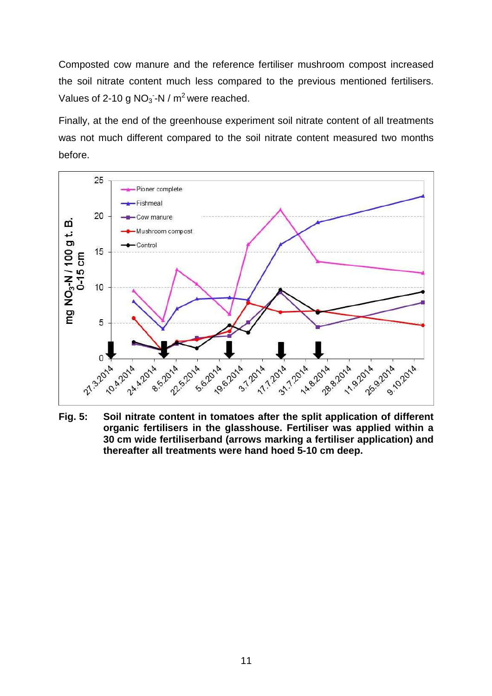Composted cow manure and the reference fertiliser mushroom compost increased the soil nitrate content much less compared to the previous mentioned fertilisers. Values of 2-10 g  $NO_3$ -N / m<sup>2</sup> were reached.

Finally, at the end of the greenhouse experiment soil nitrate content of all treatments was not much different compared to the soil nitrate content measured two months before.



**Fig. 5: Soil nitrate content in tomatoes after the split application of different organic fertilisers in the glasshouse. Fertiliser was applied within a 30 cm wide fertiliserband (arrows marking a fertiliser application) and thereafter all treatments were hand hoed 5-10 cm deep.**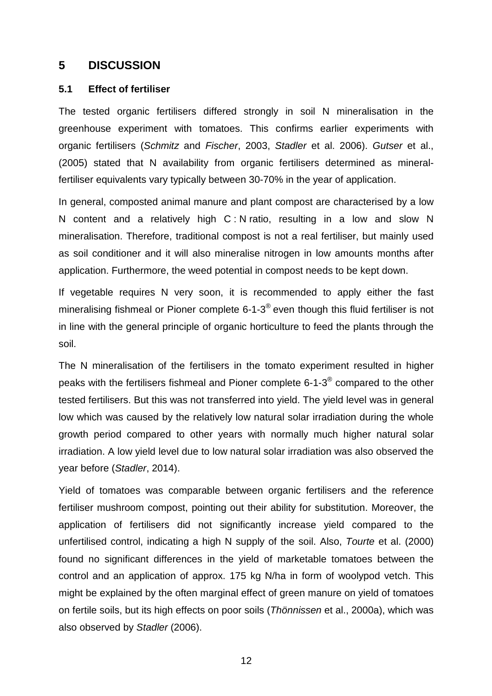#### **5 DISCUSSION**

#### **5.1 Effect of fertiliser**

The tested organic fertilisers differed strongly in soil N mineralisation in the greenhouse experiment with tomatoes. This confirms earlier experiments with organic fertilisers (Schmitz and Fischer, 2003, Stadler et al. 2006). Gutser et al., (2005) stated that N availability from organic fertilisers determined as mineralfertiliser equivalents vary typically between 30-70% in the year of application.

In general, composted animal manure and plant compost are characterised by a low N content and a relatively high C : N ratio, resulting in a low and slow N mineralisation. Therefore, traditional compost is not a real fertiliser, but mainly used as soil conditioner and it will also mineralise nitrogen in low amounts months after application. Furthermore, the weed potential in compost needs to be kept down.

If vegetable requires N very soon, it is recommended to apply either the fast mineralising fishmeal or Pioner complete 6-1-3<sup>®</sup> even though this fluid fertiliser is not in line with the general principle of organic horticulture to feed the plants through the soil.

The N mineralisation of the fertilisers in the tomato experiment resulted in higher peaks with the fertilisers fishmeal and Pioner complete 6-1-3 $^{\circledR}$  compared to the other tested fertilisers. But this was not transferred into yield. The yield level was in general low which was caused by the relatively low natural solar irradiation during the whole growth period compared to other years with normally much higher natural solar irradiation. A low yield level due to low natural solar irradiation was also observed the year before (Stadler, 2014).

Yield of tomatoes was comparable between organic fertilisers and the reference fertiliser mushroom compost, pointing out their ability for substitution. Moreover, the application of fertilisers did not significantly increase yield compared to the unfertilised control, indicating a high N supply of the soil. Also, Tourte et al. (2000) found no significant differences in the yield of marketable tomatoes between the control and an application of approx. 175 kg N/ha in form of woolypod vetch. This might be explained by the often marginal effect of green manure on yield of tomatoes on fertile soils, but its high effects on poor soils (Thönnissen et al., 2000a), which was also observed by Stadler (2006).

12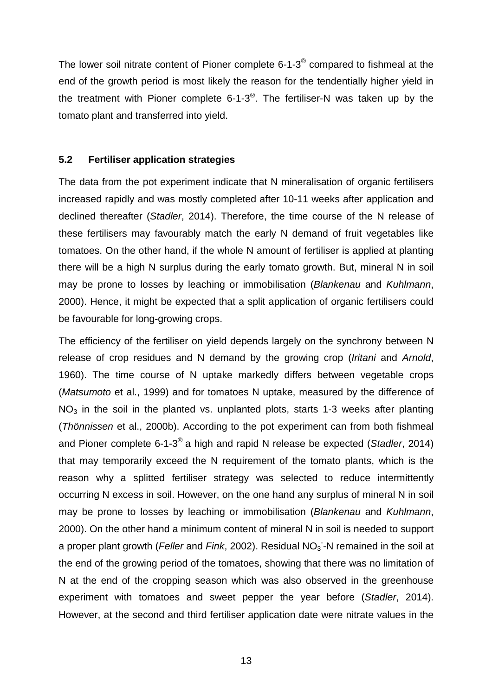The lower soil nitrate content of Pioner complete 6-1-3 $^{\circledast}$  compared to fishmeal at the end of the growth period is most likely the reason for the tendentially higher yield in the treatment with Pioner complete 6-1-3<sup>®</sup>. The fertiliser-N was taken up by the tomato plant and transferred into yield.

#### **5.2 Fertiliser application strategies**

The data from the pot experiment indicate that N mineralisation of organic fertilisers increased rapidly and was mostly completed after 10-11 weeks after application and declined thereafter (Stadler, 2014). Therefore, the time course of the N release of these fertilisers may favourably match the early N demand of fruit vegetables like tomatoes. On the other hand, if the whole N amount of fertiliser is applied at planting there will be a high N surplus during the early tomato growth. But, mineral N in soil may be prone to losses by leaching or immobilisation (Blankenau and Kuhlmann, 2000). Hence, it might be expected that a split application of organic fertilisers could be favourable for long-growing crops.

The efficiency of the fertiliser on yield depends largely on the synchrony between N release of crop residues and N demand by the growing crop (Iritani and Arnold, 1960). The time course of N uptake markedly differs between vegetable crops (Matsumoto et al., 1999) and for tomatoes N uptake, measured by the difference of  $NO<sub>3</sub>$  in the soil in the planted vs. unplanted plots, starts 1-3 weeks after planting (Thönnissen et al., 2000b). According to the pot experiment can from both fishmeal and Pioner complete 6-1-3<sup>®</sup> a high and rapid N release be expected (Stadler, 2014) that may temporarily exceed the N requirement of the tomato plants, which is the reason why a splitted fertiliser strategy was selected to reduce intermittently occurring N excess in soil. However, on the one hand any surplus of mineral N in soil may be prone to losses by leaching or immobilisation (Blankenau and Kuhlmann, 2000). On the other hand a minimum content of mineral N in soil is needed to support a proper plant growth (Feller and Fink, 2002). Residual NO<sub>3</sub>-N remained in the soil at the end of the growing period of the tomatoes, showing that there was no limitation of N at the end of the cropping season which was also observed in the greenhouse experiment with tomatoes and sweet pepper the year before (Stadler, 2014). However, at the second and third fertiliser application date were nitrate values in the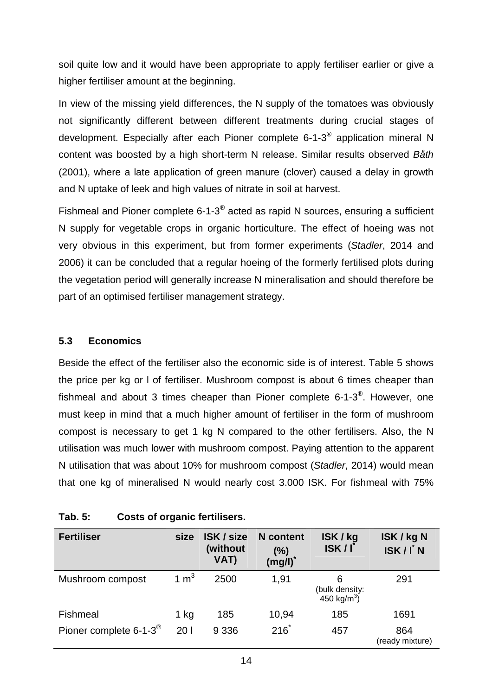soil quite low and it would have been appropriate to apply fertiliser earlier or give a higher fertiliser amount at the beginning.

In view of the missing yield differences, the N supply of the tomatoes was obviously not significantly different between different treatments during crucial stages of development. Especially after each Pioner complete 6-1-3<sup>®</sup> application mineral N content was boosted by a high short-term N release. Similar results observed Båth (2001), where a late application of green manure (clover) caused a delay in growth and N uptake of leek and high values of nitrate in soil at harvest.

Fishmeal and Pioner complete 6-1-3 $^{\circledast}$  acted as rapid N sources, ensuring a sufficient N supply for vegetable crops in organic horticulture. The effect of hoeing was not very obvious in this experiment, but from former experiments (Stadler, 2014 and 2006) it can be concluded that a regular hoeing of the formerly fertilised plots during the vegetation period will generally increase N mineralisation and should therefore be part of an optimised fertiliser management strategy.

#### **5.3 Economics**

Beside the effect of the fertiliser also the economic side is of interest. Table 5 shows the price per kg or l of fertiliser. Mushroom compost is about 6 times cheaper than fishmeal and about 3 times cheaper than Pioner complete 6-1-3 $^{\circledR}$ . However, one must keep in mind that a much higher amount of fertiliser in the form of mushroom compost is necessary to get 1 kg N compared to the other fertilisers. Also, the N utilisation was much lower with mushroom compost. Paying attention to the apparent N utilisation that was about 10% for mushroom compost (Stadler, 2014) would mean that one kg of mineralised N would nearly cost 3.000 ISK. For fishmeal with 75%

| <b>Fertiliser</b>                      | size   | <b>ISK / size</b><br>(without<br>VAT) | <b>N</b> content<br>$(\%)$<br>(mg/l) | ISK / kg<br>ISK/I                          | ISK / kg N<br>ISK/I N  |
|----------------------------------------|--------|---------------------------------------|--------------------------------------|--------------------------------------------|------------------------|
| Mushroom compost                       | 1 $m3$ | 2500                                  | 1,91                                 | 6<br>(bulk density: $450 \text{ kg/m}^3$ ) | 291                    |
| Fishmeal                               | 1 kg   | 185                                   | 10,94                                | 185                                        | 1691                   |
| Pioner complete $6-1-3^{\circledcirc}$ | 201    | 9 3 3 6                               | $216*$                               | 457                                        | 864<br>(ready mixture) |

#### **Tab. 5: Costs of organic fertilisers.**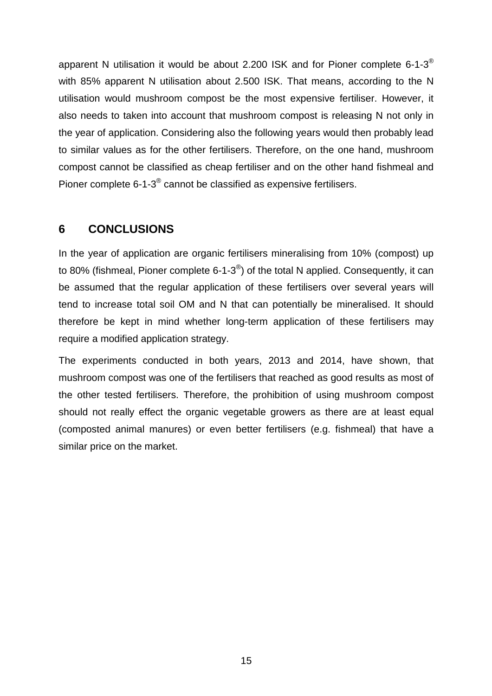apparent N utilisation it would be about 2.200 ISK and for Pioner complete 6-1-3<sup>®</sup> with 85% apparent N utilisation about 2.500 ISK. That means, according to the N utilisation would mushroom compost be the most expensive fertiliser. However, it also needs to taken into account that mushroom compost is releasing N not only in the year of application. Considering also the following years would then probably lead to similar values as for the other fertilisers. Therefore, on the one hand, mushroom compost cannot be classified as cheap fertiliser and on the other hand fishmeal and Pioner complete 6-1-3 $^{\circ}$  cannot be classified as expensive fertilisers.

### **6 CONCLUSIONS**

In the year of application are organic fertilisers mineralising from 10% (compost) up to 80% (fishmeal, Pioner complete 6-1-3<sup>®</sup>) of the total N applied. Consequently, it can be assumed that the regular application of these fertilisers over several years will tend to increase total soil OM and N that can potentially be mineralised. It should therefore be kept in mind whether long-term application of these fertilisers may require a modified application strategy.

The experiments conducted in both years, 2013 and 2014, have shown, that mushroom compost was one of the fertilisers that reached as good results as most of the other tested fertilisers. Therefore, the prohibition of using mushroom compost should not really effect the organic vegetable growers as there are at least equal (composted animal manures) or even better fertilisers (e.g. fishmeal) that have a similar price on the market.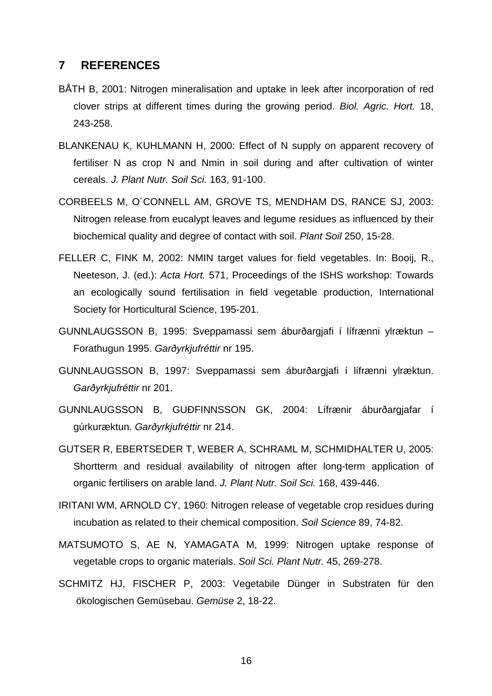#### **7 REFERENCES**

- BÅTH B, 2001: Nitrogen mineralisation and uptake in leek after incorporation of red clover strips at different times during the growing period. Biol. Agric. Hort. 18, 243-258.
- BLANKENAU K, KUHLMANN H, 2000: Effect of N supply on apparent recovery of fertiliser N as crop N and Nmin in soil during and after cultivation of winter cereals. J. Plant Nutr. Soil Sci. 163, 91-100.
- CORBEELS M, O´CONNELL AM, GROVE TS, MENDHAM DS, RANCE SJ, 2003: Nitrogen release from eucalypt leaves and legume residues as influenced by their biochemical quality and degree of contact with soil. Plant Soil 250, 15-28.
- FELLER C, FINK M, 2002: NMIN target values for field vegetables. In: Booij, R., Neeteson, J. (ed.): Acta Hort. 571, Proceedings of the ISHS workshop: Towards an ecologically sound fertilisation in field vegetable production, International Society for Horticultural Science, 195-201.
- GUNNLAUGSSON B, 1995: Sveppamassi sem áburðargjafi í lífrænni ylræktun Forathugun 1995. Garðyrkjufréttir nr 195.
- GUNNLAUGSSON B, 1997: Sveppamassi sem áburðargjafi í lífrænni ylræktun. Garðyrkjufréttir nr 201.
- GUNNLAUGSSON B, GUÐFINNSSON GK, 2004: Lífrænir áburðargjafar í gúrkuræktun. Garðyrkjufréttir nr 214.
- GUTSER R, EBERTSEDER T, WEBER A, SCHRAML M, SCHMIDHALTER U, 2005: Shortterm and residual availability of nitrogen after long-term application of organic fertilisers on arable land. J. Plant Nutr. Soil Sci. 168, 439-446.
- IRITANI WM, ARNOLD CY, 1960: Nitrogen release of vegetable crop residues during incubation as related to their chemical composition. Soil Science 89, 74-82.
- MATSUMOTO S, AE N, YAMAGATA M, 1999: Nitrogen uptake response of vegetable crops to organic materials. Soil Sci. Plant Nutr. 45, 269-278.
- SCHMITZ HJ, FISCHER P, 2003: Vegetabile Dünger in Substraten für den ökologischen Gemüsebau. Gemüse 2, 18-22.